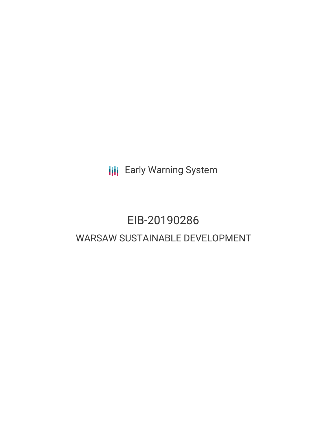**III** Early Warning System

# EIB-20190286 WARSAW SUSTAINABLE DEVELOPMENT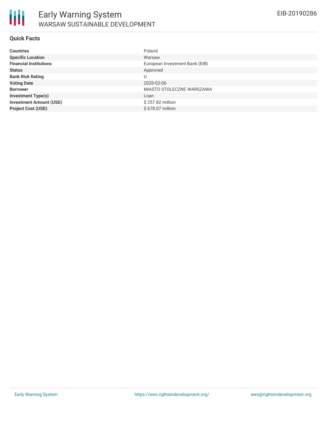#### **Quick Facts**

| <b>Countries</b>               | Poland                         |
|--------------------------------|--------------------------------|
| <b>Specific Location</b>       | Warsaw                         |
| <b>Financial Institutions</b>  | European Investment Bank (EIB) |
| <b>Status</b>                  | Approved                       |
| <b>Bank Risk Rating</b>        |                                |
| <b>Voting Date</b>             | 2020-02-06                     |
| <b>Borrower</b>                | MIASTO STOLECZNE WARSZAWA      |
| <b>Investment Type(s)</b>      | Loan                           |
| <b>Investment Amount (USD)</b> | \$257.82 million               |
| <b>Project Cost (USD)</b>      | \$678.07 million               |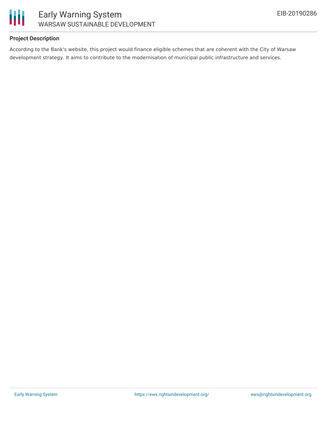



## **Project Description**

According to the Bank's website, this project would finance eligible schemes that are coherent with the City of Warsaw development strategy. It aims to contribute to the modernisation of municipal public infrastructure and services.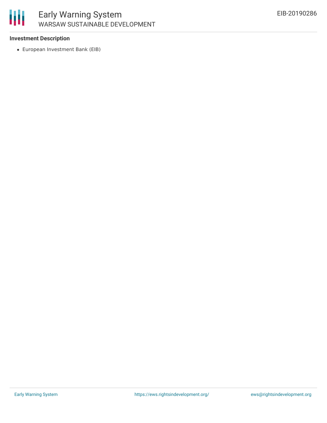

# Early Warning System WARSAW SUSTAINABLE DEVELOPMENT

## **Investment Description**

European Investment Bank (EIB)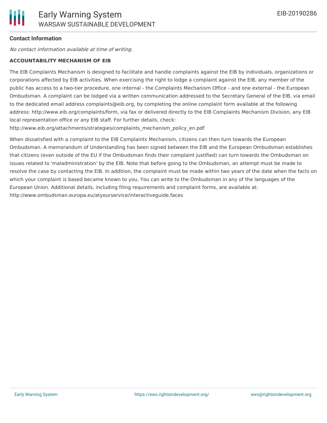## **Contact Information**

No contact information available at time of writing.

#### **ACCOUNTABILITY MECHANISM OF EIB**

The EIB Complaints Mechanism is designed to facilitate and handle complaints against the EIB by individuals, organizations or corporations affected by EIB activities. When exercising the right to lodge a complaint against the EIB, any member of the public has access to a two-tier procedure, one internal - the Complaints Mechanism Office - and one external - the European Ombudsman. A complaint can be lodged via a written communication addressed to the Secretary General of the EIB, via email to the dedicated email address complaints@eib.org, by completing the online complaint form available at the following address: http://www.eib.org/complaints/form, via fax or delivered directly to the EIB Complaints Mechanism Division, any EIB local representation office or any EIB staff. For further details, check:

http://www.eib.org/attachments/strategies/complaints\_mechanism\_policy\_en.pdf

When dissatisfied with a complaint to the EIB Complaints Mechanism, citizens can then turn towards the European Ombudsman. A memorandum of Understanding has been signed between the EIB and the European Ombudsman establishes that citizens (even outside of the EU if the Ombudsman finds their complaint justified) can turn towards the Ombudsman on issues related to 'maladministration' by the EIB. Note that before going to the Ombudsman, an attempt must be made to resolve the case by contacting the EIB. In addition, the complaint must be made within two years of the date when the facts on which your complaint is based became known to you. You can write to the Ombudsman in any of the languages of the European Union. Additional details, including filing requirements and complaint forms, are available at: http://www.ombudsman.europa.eu/atyourservice/interactiveguide.faces